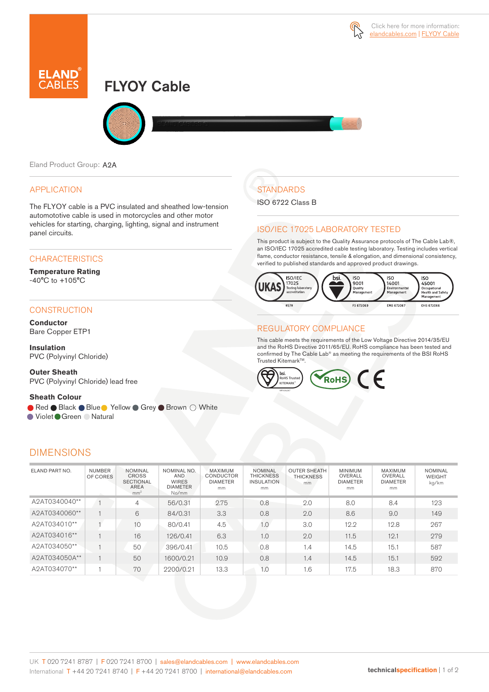

# FLYOY Cable



Eland Product Group: A2A

## APPLICATION

The FLYOY cable is a PVC insulated and sheathed low-tension automototive cable is used in motorcycles and other motor vehicles for starting, charging, lighting, signal and instrument panel circuits.

### **CHARACTERISTICS**

**Temperature Rating**  -40°C to +105°C

## **CONSTRUCTION**

**Conductor** Bare Copper ETP1

**Insulation** PVC (Polyvinyl Chloride)

**Outer Sheath** PVC (Polyvinyl Chloride) lead free

#### **Sheath Colour**

● Red ● Black ● Blue ● Yellow ● Grey ● Brown ○ White

● Violet Green ● Natural

## DIMENSIONS

# **STANDARDS**

ISO 6722 Class B

## ISO/IEC 17025 LABORATORY TESTED

This product is subject to the Quality Assurance protocols of The Cable Lab®, an ISO/IEC 17025 accredited cable testing laboratory. Testing includes vertical flame, conductor resistance, tensile & elongation, and dimensional consistency, verified to published standards and approved product drawings.



## REGULATORY COMPLIANCE

This cable meets the requirements of the Low Voltage Directive 2014/35/EU and the RoHS Directive 2011/65/EU. RoHS compliance has been tested and confirmed by The Cable Lab® as meeting the requirements of the BSI RoHS Trusted KitemarkTM.



| ELAND PART NO. | <b>NUMBER</b><br>OF CORES | <b>NOMINAL</b><br><b>CROSS</b><br><b>SECTIONAL</b><br><b>AREA</b><br>mm <sup>2</sup> | NOMINAL NO.<br><b>AND</b><br><b>WIRES</b><br><b>DIAMETER</b><br>No/mm | MAXIMUM<br><b>CONDUCTOR</b><br><b>DIAMETER</b><br>mm | <b>NOMINAL</b><br><b>THICKNESS</b><br><b>INSULATION</b><br>mm | <b>OUTER SHEATH</b><br><b>THICKNESS</b><br>mm | <b>MINIMUM</b><br>OVERALL<br><b>DIAMETER</b><br>mm | MAXIMUM<br>OVERALL<br><b>DIAMETER</b><br>mm | <b>NOMINAL</b><br><b>WEIGHT</b><br>kg/km |
|----------------|---------------------------|--------------------------------------------------------------------------------------|-----------------------------------------------------------------------|------------------------------------------------------|---------------------------------------------------------------|-----------------------------------------------|----------------------------------------------------|---------------------------------------------|------------------------------------------|
| A2AT0340040**  |                           | 4                                                                                    | 56/0.31                                                               | 2.75                                                 | 0.8                                                           | 2.0                                           | 8.0                                                | 8.4                                         | 123                                      |
| A2AT0340060**  |                           | 6                                                                                    | 84/0.31                                                               | 3.3                                                  | 0.8                                                           | 2.0                                           | 8.6                                                | 9.0                                         | 149                                      |
| A2AT034010**   |                           | 10                                                                                   | 80/0.41                                                               | 4.5                                                  | 1.0                                                           | 3.0                                           | 12.2                                               | 12.8                                        | 267                                      |
| A2AT034016**   |                           | 16                                                                                   | 126/0.41                                                              | 6.3                                                  | 1.0                                                           | 2.0                                           | 11.5                                               | 12.1                                        | 279                                      |
| A2AT034050**   |                           | 50                                                                                   | 396/0.41                                                              | 10.5                                                 | 0.8                                                           | 1.4                                           | 14.5                                               | 15.1                                        | 587                                      |
| A2AT034050A**  |                           | 50                                                                                   | 1600/0.21                                                             | 10.9                                                 | 0.8                                                           | 1.4                                           | 14.5                                               | 15.1                                        | 592                                      |
| A2AT034070**   |                           | 70                                                                                   | 2200/0.21                                                             | 13.3                                                 | 0.1                                                           | 1.6                                           | 17.5                                               | 18.3                                        | 870                                      |